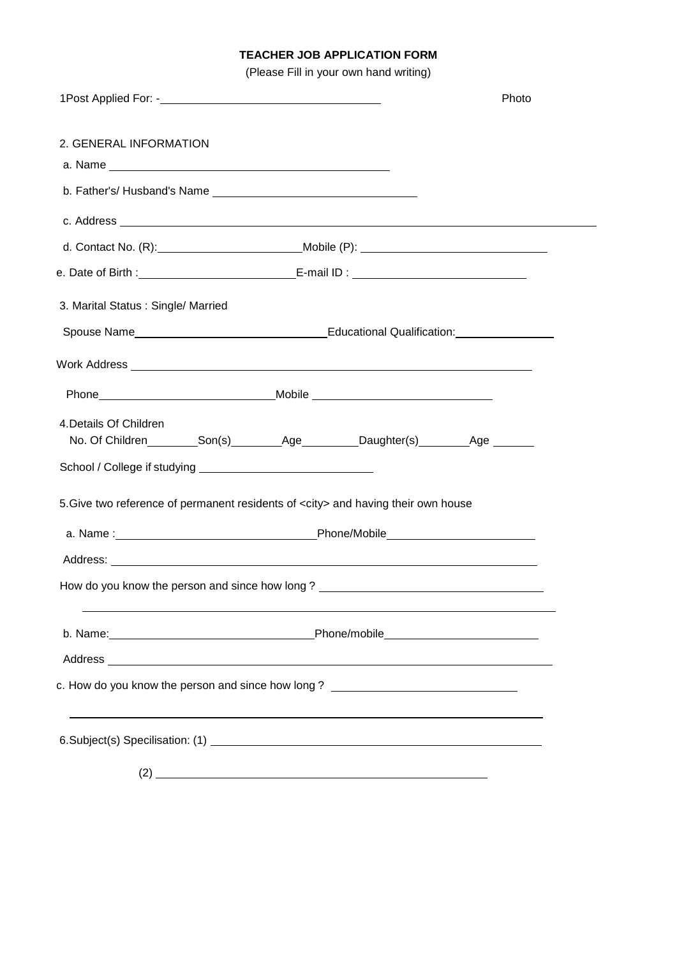# **TEACHER JOB APPLICATION FORM**

(Please Fill in your own hand writing)

|                                    | Photo                                                                                                                                                                                                                               |  |
|------------------------------------|-------------------------------------------------------------------------------------------------------------------------------------------------------------------------------------------------------------------------------------|--|
| 2. GENERAL INFORMATION             |                                                                                                                                                                                                                                     |  |
|                                    |                                                                                                                                                                                                                                     |  |
|                                    |                                                                                                                                                                                                                                     |  |
|                                    |                                                                                                                                                                                                                                     |  |
|                                    |                                                                                                                                                                                                                                     |  |
|                                    |                                                                                                                                                                                                                                     |  |
| 3. Marital Status: Single/ Married |                                                                                                                                                                                                                                     |  |
|                                    | Spouse Name <b>Mame Spouse Name COVERTISE:</b> Spouse Name COVERTISE: Spouse Name COVERTISE: Spouse Name COVERTISE: Spouse Name COVERTISE: Spouse Name COVERTISE: Spouse Name COVERTISE: Spouse Name COVERTISE: Spouse Name COVERTI |  |
|                                    |                                                                                                                                                                                                                                     |  |
|                                    |                                                                                                                                                                                                                                     |  |
| 4. Details Of Children             | No. Of Children__________Son(s)___________Age__________Daughter(s)_________Age _______                                                                                                                                              |  |
|                                    | 5. Give two reference of permanent residents of <city> and having their own house</city>                                                                                                                                            |  |
|                                    |                                                                                                                                                                                                                                     |  |
|                                    |                                                                                                                                                                                                                                     |  |
|                                    | How do you know the person and since how long? _________________________________                                                                                                                                                    |  |
|                                    |                                                                                                                                                                                                                                     |  |
|                                    |                                                                                                                                                                                                                                     |  |
|                                    | c. How do you know the person and since how long? ______________________________                                                                                                                                                    |  |
|                                    |                                                                                                                                                                                                                                     |  |
|                                    | $(2)$ $\overline{\phantom{a}}$                                                                                                                                                                                                      |  |
|                                    |                                                                                                                                                                                                                                     |  |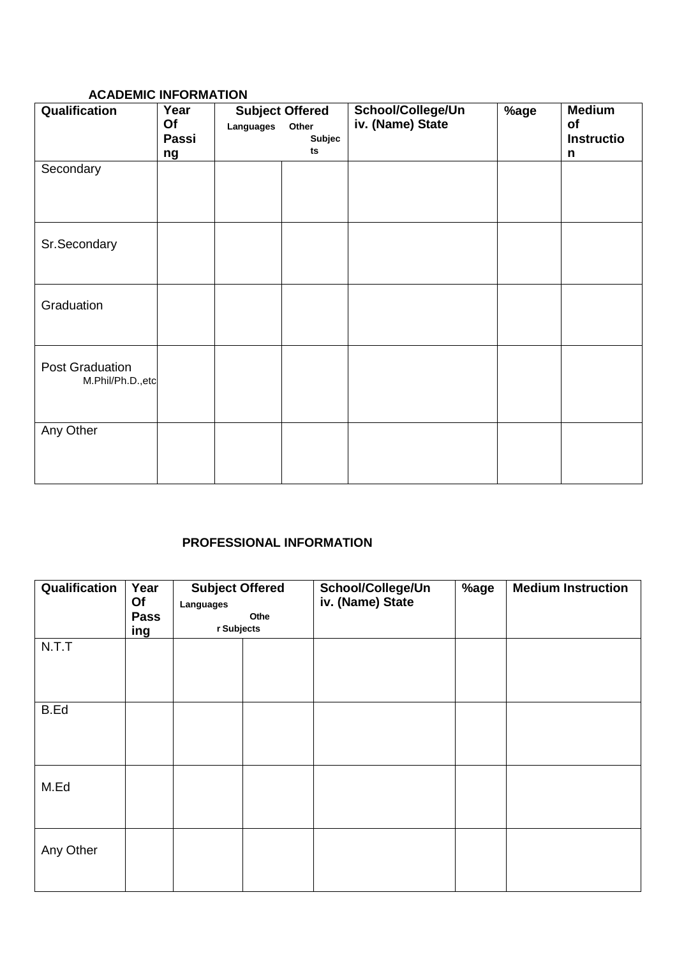### **ACADEMIC INFORMATION**

| Qualification                       | Year<br>Of<br>Passi<br>ng | Languages | <b>Subject Offered</b><br>Other<br>Subjec<br>ts | School/College/Un<br>iv. (Name) State | %age | <b>Medium</b><br>of<br>Instructio<br>n |
|-------------------------------------|---------------------------|-----------|-------------------------------------------------|---------------------------------------|------|----------------------------------------|
| Secondary                           |                           |           |                                                 |                                       |      |                                        |
| Sr.Secondary                        |                           |           |                                                 |                                       |      |                                        |
| Graduation                          |                           |           |                                                 |                                       |      |                                        |
| Post Graduation<br>M.Phil/Ph.D.,etc |                           |           |                                                 |                                       |      |                                        |
| Any Other                           |                           |           |                                                 |                                       |      |                                        |

# **PROFESSIONAL INFORMATION**

| Qualification | Year<br>Of<br><b>Pass</b><br><u>ing</u> | <b>Subject Offered</b><br>Languages<br>Othe<br>r Subjects |  | School/College/Un<br>iv. (Name) State | %age | <b>Medium Instruction</b> |
|---------------|-----------------------------------------|-----------------------------------------------------------|--|---------------------------------------|------|---------------------------|
| N.T.T         |                                         |                                                           |  |                                       |      |                           |
| B.Ed          |                                         |                                                           |  |                                       |      |                           |
| M.Ed          |                                         |                                                           |  |                                       |      |                           |
| Any Other     |                                         |                                                           |  |                                       |      |                           |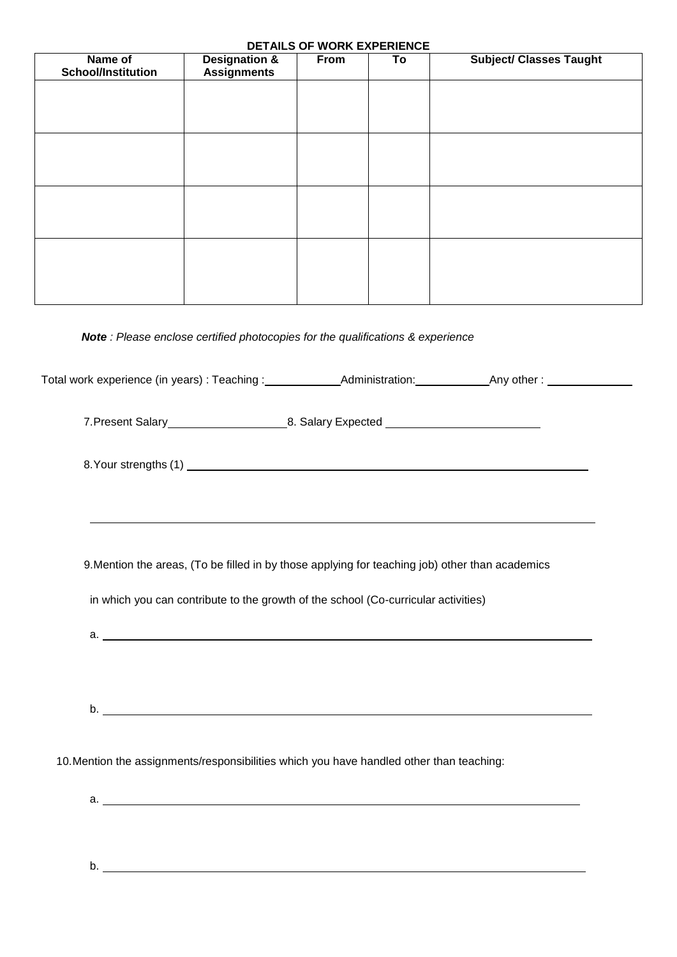#### **DETAILS OF WORK EXPERIENCE**

| Name of<br><b>School/Institution</b> | <b>Designation &amp;</b><br><b>Assignments</b> | From | To | <b>Subject/ Classes Taught</b> |
|--------------------------------------|------------------------------------------------|------|----|--------------------------------|
|                                      |                                                |      |    |                                |
|                                      |                                                |      |    |                                |
|                                      |                                                |      |    |                                |
|                                      |                                                |      |    |                                |
|                                      |                                                |      |    |                                |
|                                      |                                                |      |    |                                |
|                                      |                                                |      |    |                                |
|                                      |                                                |      |    |                                |
|                                      |                                                |      |    |                                |

# *Note : Please enclose certified photocopies for the qualifications & experience*

|                                                                                                 | ,我们也不会有什么。""我们的人,我们也不会有什么?""我们的人,我们也不会有什么?""我们的人,我们也不会有什么?""我们的人,我们也不会有什么?""我们的人 |  |
|-------------------------------------------------------------------------------------------------|----------------------------------------------------------------------------------|--|
| 9. Mention the areas, (To be filled in by those applying for teaching job) other than academics |                                                                                  |  |
| in which you can contribute to the growth of the school (Co-curricular activities)              |                                                                                  |  |
| a.                                                                                              |                                                                                  |  |
|                                                                                                 |                                                                                  |  |
| b.                                                                                              |                                                                                  |  |
| 10. Mention the assignments/responsibilities which you have handled other than teaching:        |                                                                                  |  |
|                                                                                                 |                                                                                  |  |
|                                                                                                 |                                                                                  |  |

b.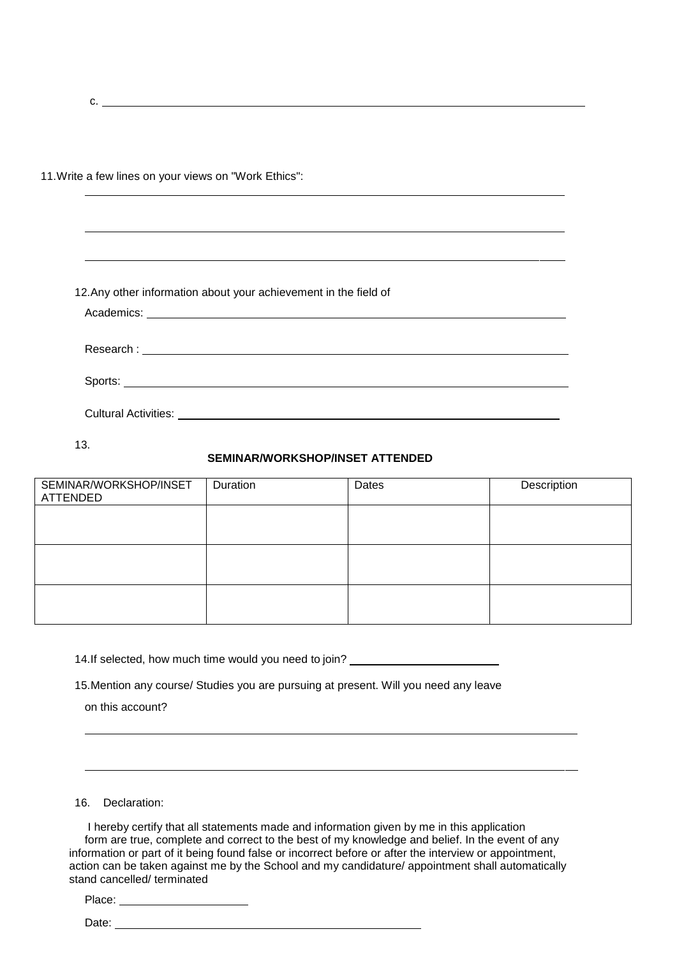c.

11.Write a few lines on your views on "Work Ethics":

|                             | 12. Any other information about your achievement in the field of |  |
|-----------------------------|------------------------------------------------------------------|--|
|                             |                                                                  |  |
|                             |                                                                  |  |
|                             |                                                                  |  |
| <b>Cultural Activities:</b> |                                                                  |  |

13.

#### **SEMINAR/WORKSHOP/INSET ATTENDED**

| SEMINAR/WORKSHOP/INSET<br>ATTENDED | <b>Duration</b> | Dates | Description |
|------------------------------------|-----------------|-------|-------------|
|                                    |                 |       |             |
|                                    |                 |       |             |
|                                    |                 |       |             |
|                                    |                 |       |             |
|                                    |                 |       |             |

14.If selected, how much time would you need to join?

15.Mention any course/ Studies you are pursuing at present. Will you need any leave

on this account?

16. Declaration:

I hereby certify that all statements made and information given by me in this application form are true, complete and correct to the best of my knowledge and belief. In the event of any information or part of it being found false or incorrect before or after the interview or appointment, action can be taken against me by the School and my candidature/ appointment shall automatically stand cancelled/ terminated

Place:

Date: